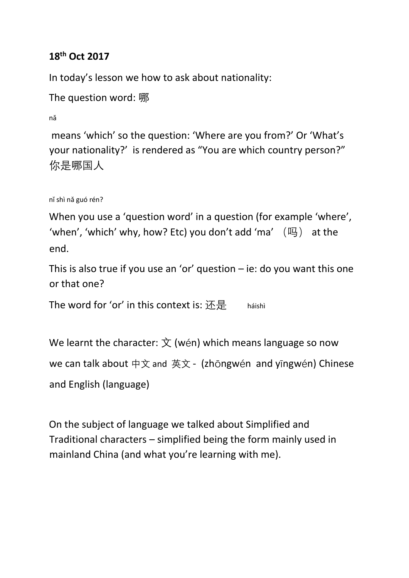## **18th Oct 2017**

In today's lesson we how to ask about nationality:

```
The question word: 哪
```
nǎ

means 'which' so the question: 'Where are you from?' Or 'What's your nationality?' is rendered as "You are which country person?" 你是哪国人

```
nǐ shì nǎ guó rén?
```
When you use a 'question word' in a question (for example 'where', 'when', 'which' why, how? Etc) you don't add 'ma' (吗) at the end.

This is also true if you use an 'or' question  $-$  ie: do you want this one or that one?

The word for 'or' in this context is:  $\mathbb{E} \mathbb{E}$  háishì

We learnt the character:  $\dot{\overline{X}}$  (wén) which means language so now we can talk about 中文 and 英文 - (zhōngwén and yīngwén) Chinese and English (language)

On the subject of language we talked about Simplified and Traditional characters – simplified being the form mainly used in mainland China (and what you're learning with me).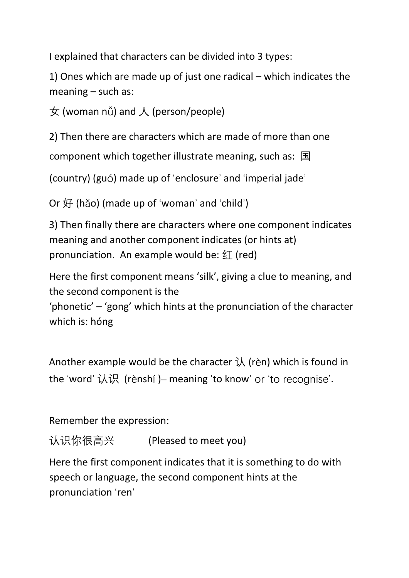I explained that characters can be divided into 3 types:

1) Ones which are made up of just one radical – which indicates the meaning – such as:

 $\pm$  (woman nǚ) and  $\lambda$  (person/people)

2) Then there are characters which are made of more than one

component which together illustrate meaning, such as: 国

(country) (guó) made up of 'enclosure' and 'imperial jade'

Or 好 (hǎo) (made up of 'woman' and 'child')

3) Then finally there are characters where one component indicates meaning and another component indicates (or hints at) pronunciation. An example would be:  $\mathfrak{L}$  (red)

Here the first component means 'silk', giving a clue to meaning, and the second component is the

'phonetic' – 'gong' which hints at the pronunciation of the character which is: hóng

Another example would be the character  $\lambda$  (rèn) which is found in the 'word' 认识 (rènshí )– meaning 'to know' or 'to recognise'.

Remember the expression:

认识你很高兴 (Pleased to meet you)

Here the first component indicates that it is something to do with speech or language, the second component hints at the pronunciation 'ren'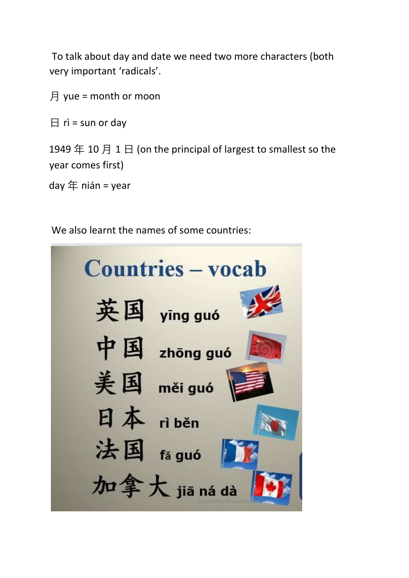To talk about day and date we need two more characters (both very important 'radicals'.

月 yue = month or moon

 $\boxminus$  rì = sun or day

1949 年 10 月 1 日 (on the principal of largest to smallest so the year comes first)

day  $#$  nián = year

We also learnt the names of some countries: